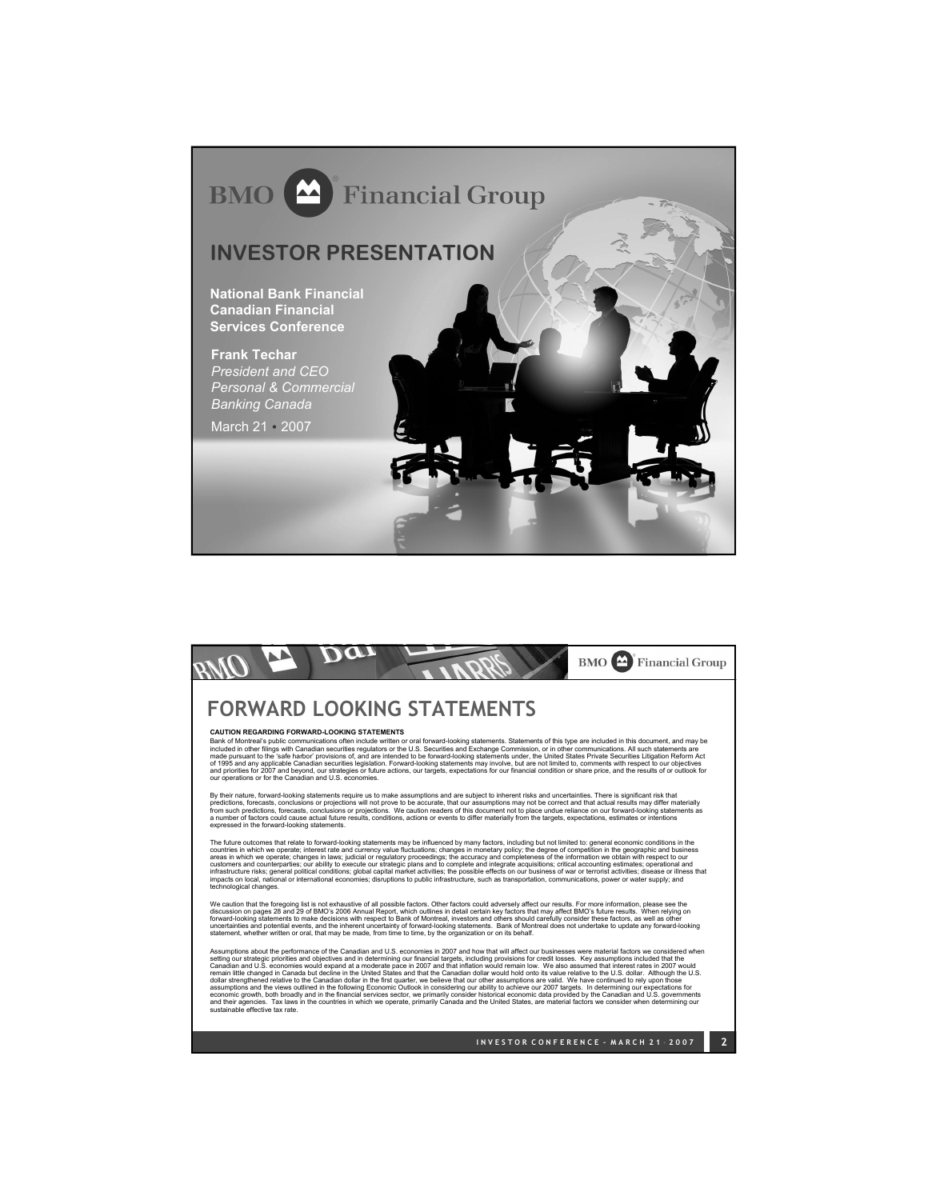

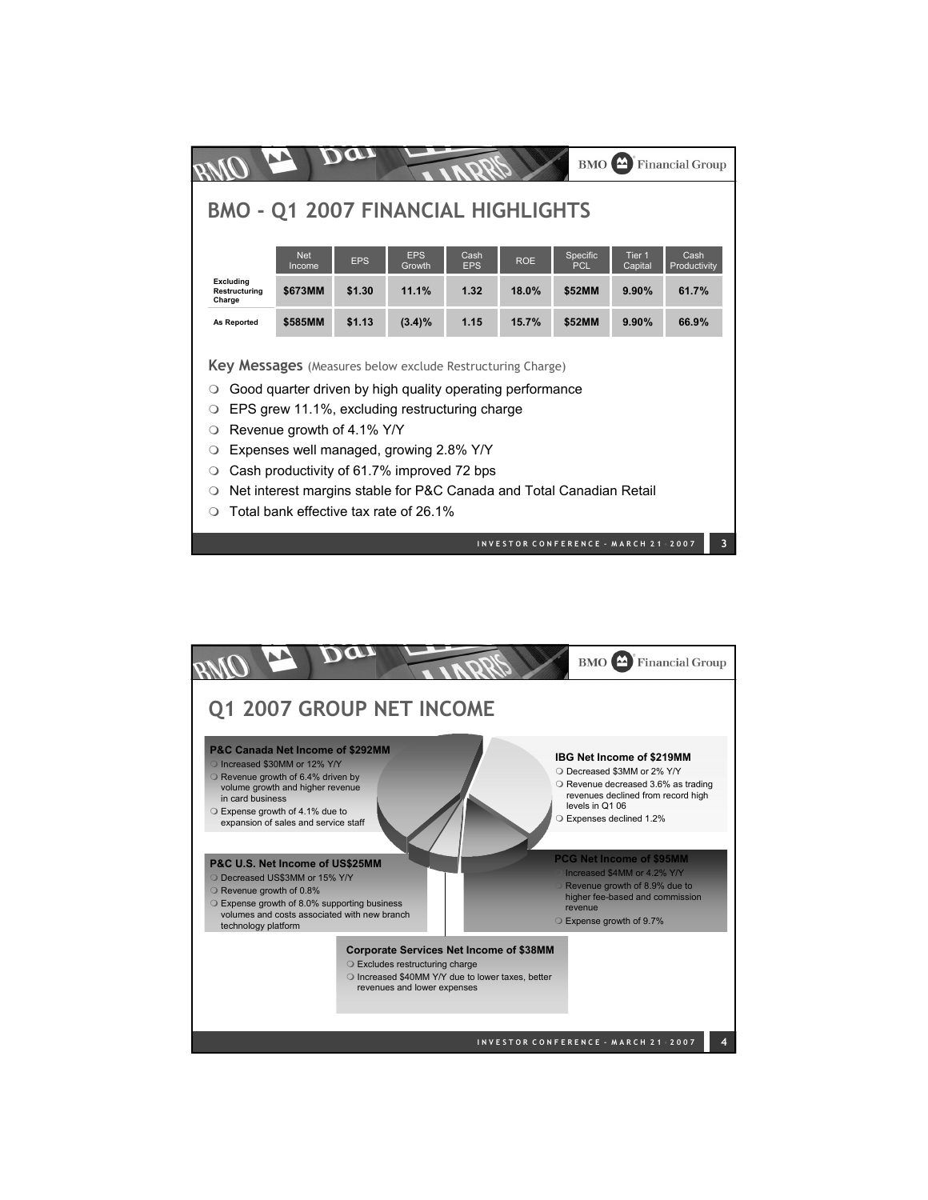| <b>Financial Group</b><br><b>BMO</b>                                                                                                                                                                                                                                                                                                                                                                                                                                |            |            |            |            |            |                                     |                   |              |  |
|---------------------------------------------------------------------------------------------------------------------------------------------------------------------------------------------------------------------------------------------------------------------------------------------------------------------------------------------------------------------------------------------------------------------------------------------------------------------|------------|------------|------------|------------|------------|-------------------------------------|-------------------|--------------|--|
|                                                                                                                                                                                                                                                                                                                                                                                                                                                                     |            |            |            |            |            |                                     |                   |              |  |
| <b>BMO - Q1 2007 FINANCIAL HIGHLIGHTS</b>                                                                                                                                                                                                                                                                                                                                                                                                                           |            |            |            |            |            |                                     |                   |              |  |
|                                                                                                                                                                                                                                                                                                                                                                                                                                                                     | <b>Net</b> |            | <b>EPS</b> | Cash       |            |                                     | Tier <sub>1</sub> | Cash         |  |
|                                                                                                                                                                                                                                                                                                                                                                                                                                                                     | Income     | <b>EPS</b> | Growth     | <b>EPS</b> | <b>ROE</b> | Specific<br><b>PCL</b>              | Capital           | Productivity |  |
| <b>Excluding</b><br>Restructuring<br>Charge                                                                                                                                                                                                                                                                                                                                                                                                                         | \$673MM    | \$1.30     | 11.1%      | 1.32       | 18.0%      | \$52MM                              | 9.90%             | 61.7%        |  |
| <b>As Reported</b>                                                                                                                                                                                                                                                                                                                                                                                                                                                  | \$585MM    | \$1.13     | $(3.4)\%$  | 1.15       | 15.7%      | \$52MM                              | 9.90%             | 66.9%        |  |
| <b>Key Messages</b> (Measures below exclude Restructuring Charge)<br>Good quarter driven by high quality operating performance<br>∩<br>EPS grew 11.1%, excluding restructuring charge<br>∩<br>Revenue growth of 4.1% Y/Y<br>O<br>Expenses well managed, growing 2.8% Y/Y<br>O<br>Cash productivity of 61.7% improved 72 bps<br>O<br>Net interest margins stable for P&C Canada and Total Canadian Retail<br>$\Omega$<br>Total bank effective tax rate of 26.1%<br>∩ |            |            |            |            |            |                                     |                   |              |  |
|                                                                                                                                                                                                                                                                                                                                                                                                                                                                     |            |            |            |            |            | INVESTOR CONFERENCE - MARCH 21 2007 |                   | 3            |  |

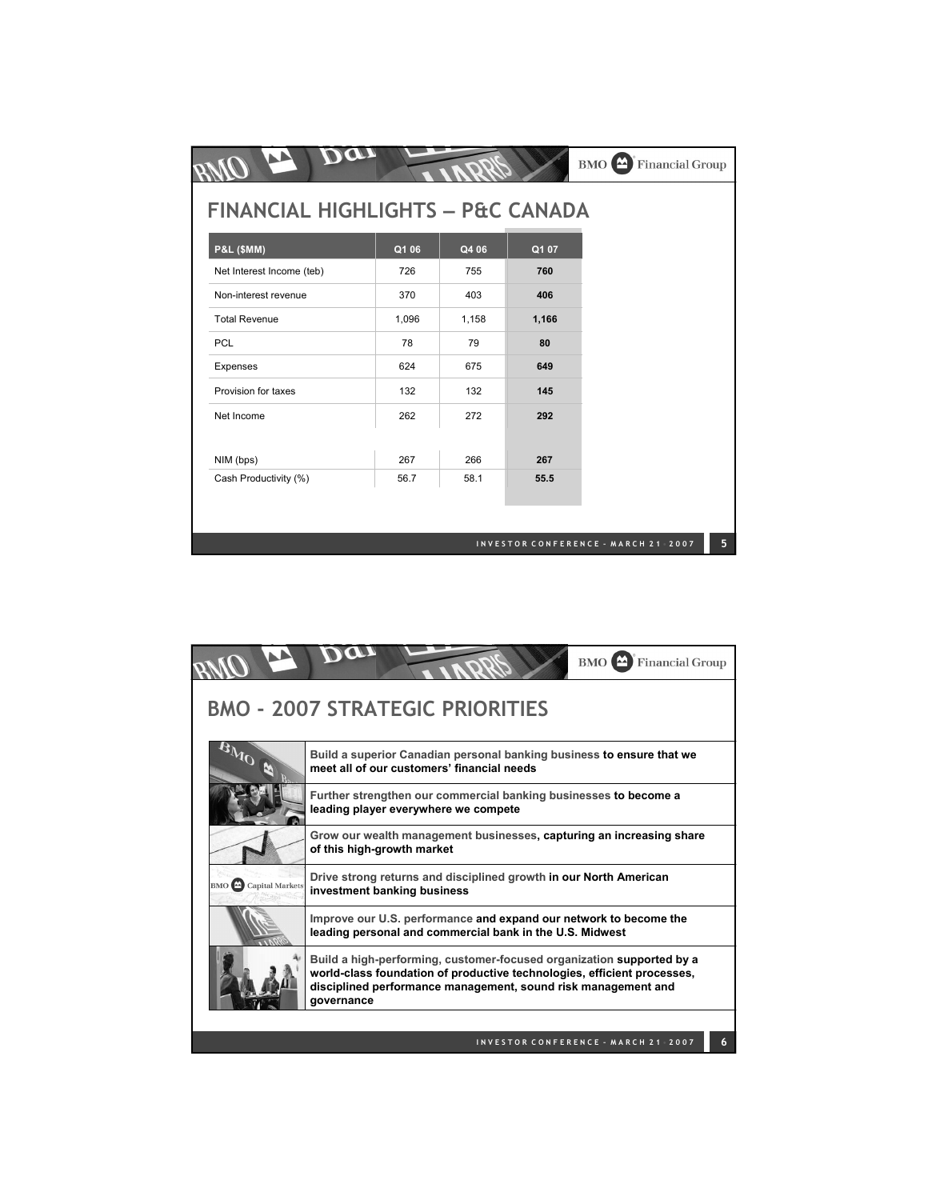| <b>FINANCIAL HIGHLIGHTS - P&amp;C CANADA</b> |       |       |       |  |
|----------------------------------------------|-------|-------|-------|--|
| <b>P&amp;L (\$MM)</b>                        | Q1 06 | Q4 06 | Q1 07 |  |
| Net Interest Income (teb)                    | 726   | 755   | 760   |  |
| Non-interest revenue                         | 370   | 403   | 406   |  |
| <b>Total Revenue</b>                         | 1,096 | 1,158 | 1,166 |  |
| <b>PCL</b>                                   | 78    | 79    | 80    |  |
| Expenses                                     | 624   | 675   | 649   |  |
| Provision for taxes                          | 132   | 132   | 145   |  |
| Net Income                                   | 262   | 272   | 292   |  |
| NIM (bps)                                    | 267   | 266   | 267   |  |
| Cash Productivity (%)                        | 56.7  | 58.1  | 55.5  |  |

|                            | <b>BMO</b> Financial Group                                                                                                                                                                                                      |  |  |  |  |  |  |  |
|----------------------------|---------------------------------------------------------------------------------------------------------------------------------------------------------------------------------------------------------------------------------|--|--|--|--|--|--|--|
|                            | <b>BMO - 2007 STRATEGIC PRIORITIES</b>                                                                                                                                                                                          |  |  |  |  |  |  |  |
|                            | Build a superior Canadian personal banking business to ensure that we<br>meet all of our customers' financial needs                                                                                                             |  |  |  |  |  |  |  |
|                            | Further strengthen our commercial banking businesses to become a<br>leading player everywhere we compete                                                                                                                        |  |  |  |  |  |  |  |
|                            | Grow our wealth management businesses, capturing an increasing share<br>of this high-growth market                                                                                                                              |  |  |  |  |  |  |  |
| <b>BMO</b> Capital Markets | Drive strong returns and disciplined growth in our North American<br>investment banking business                                                                                                                                |  |  |  |  |  |  |  |
|                            | Improve our U.S. performance and expand our network to become the<br>leading personal and commercial bank in the U.S. Midwest                                                                                                   |  |  |  |  |  |  |  |
|                            | Build a high-performing, customer-focused organization supported by a<br>world-class foundation of productive technologies, efficient processes,<br>disciplined performance management, sound risk management and<br>governance |  |  |  |  |  |  |  |
|                            | INVESTOR CONFERENCE - MARCH 21 2007                                                                                                                                                                                             |  |  |  |  |  |  |  |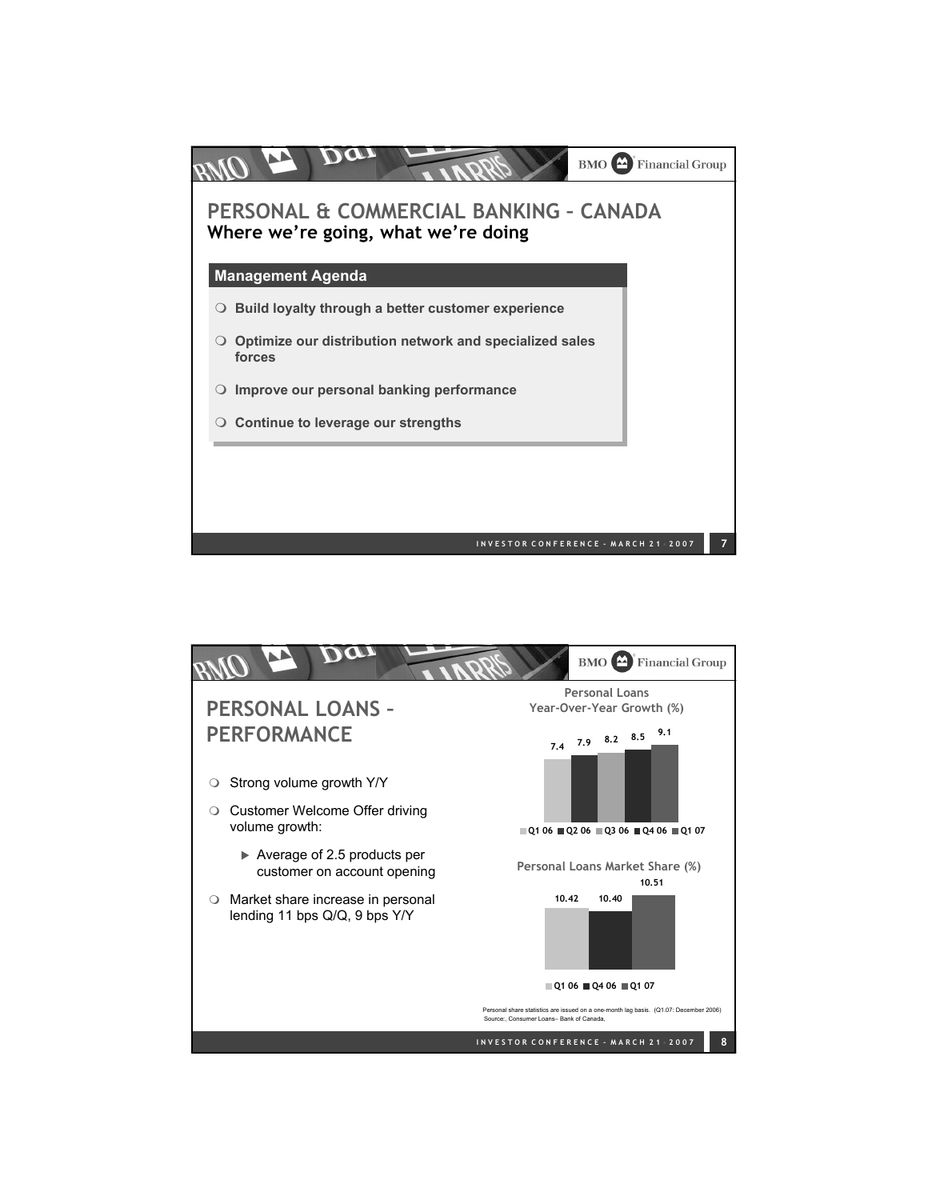

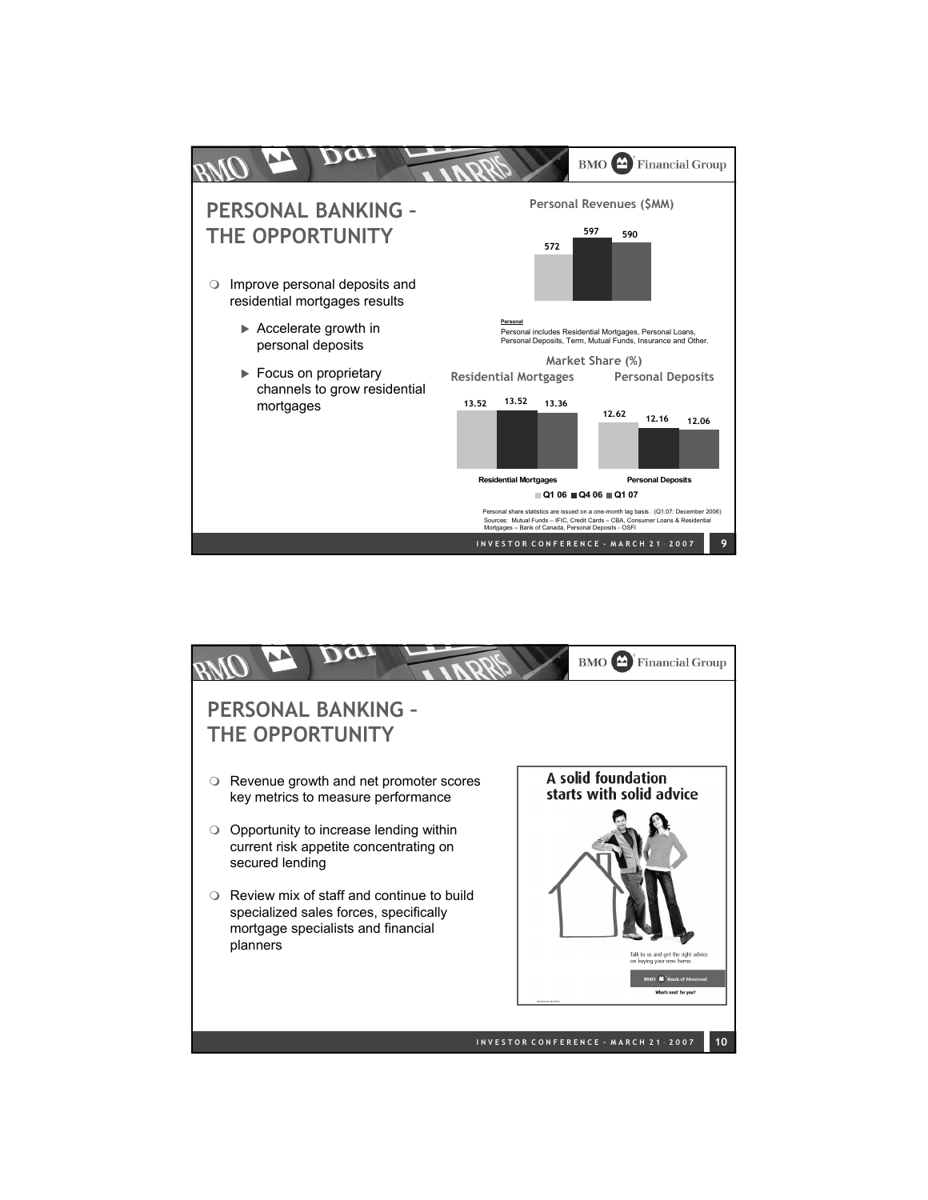

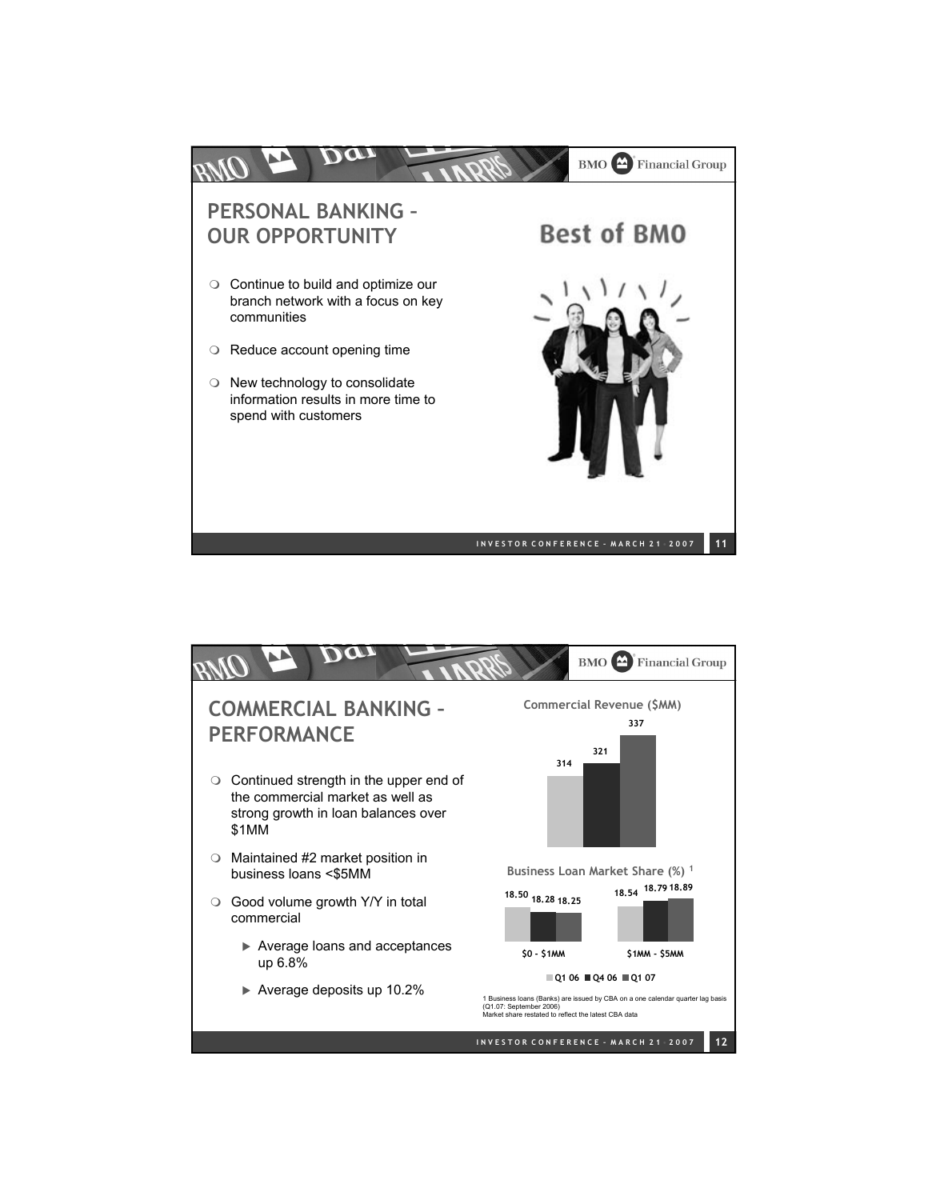

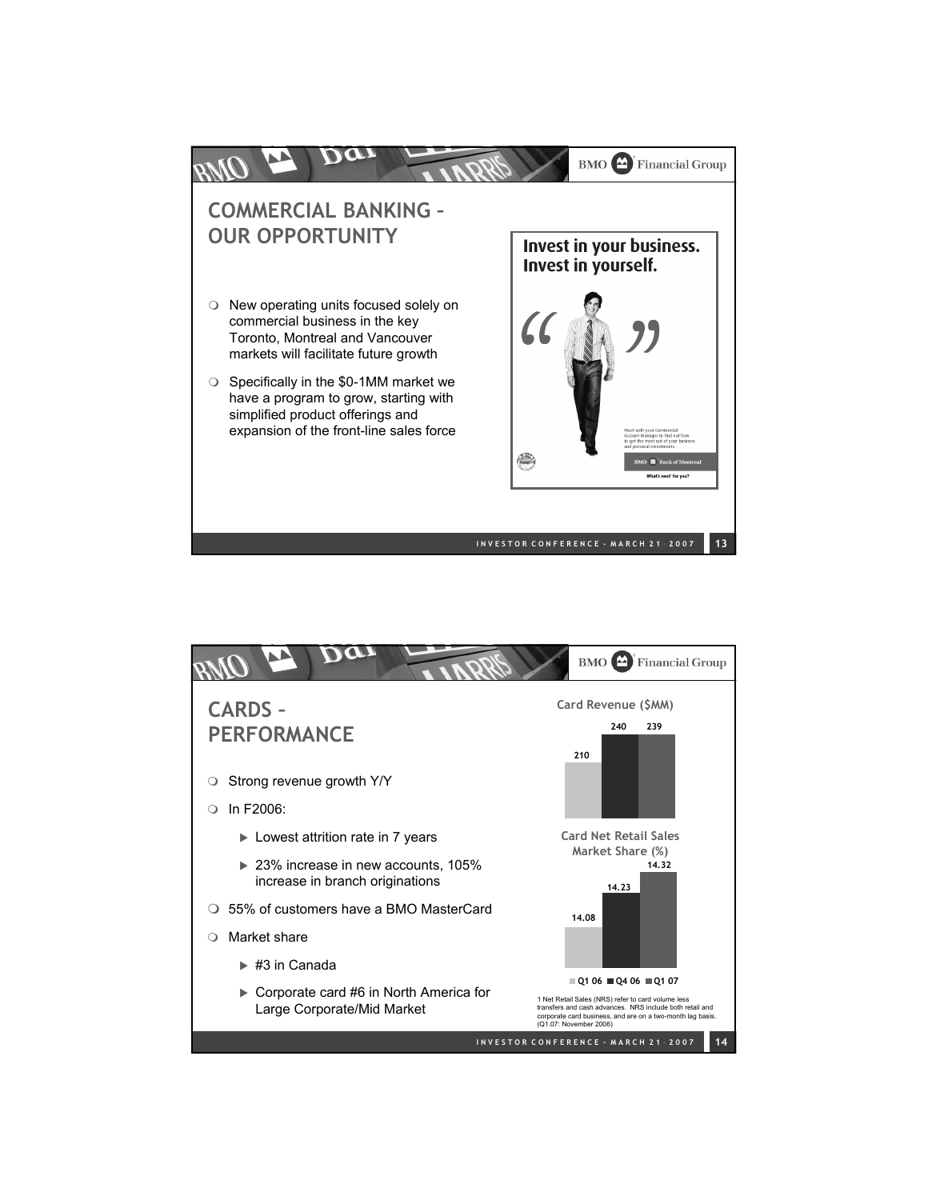

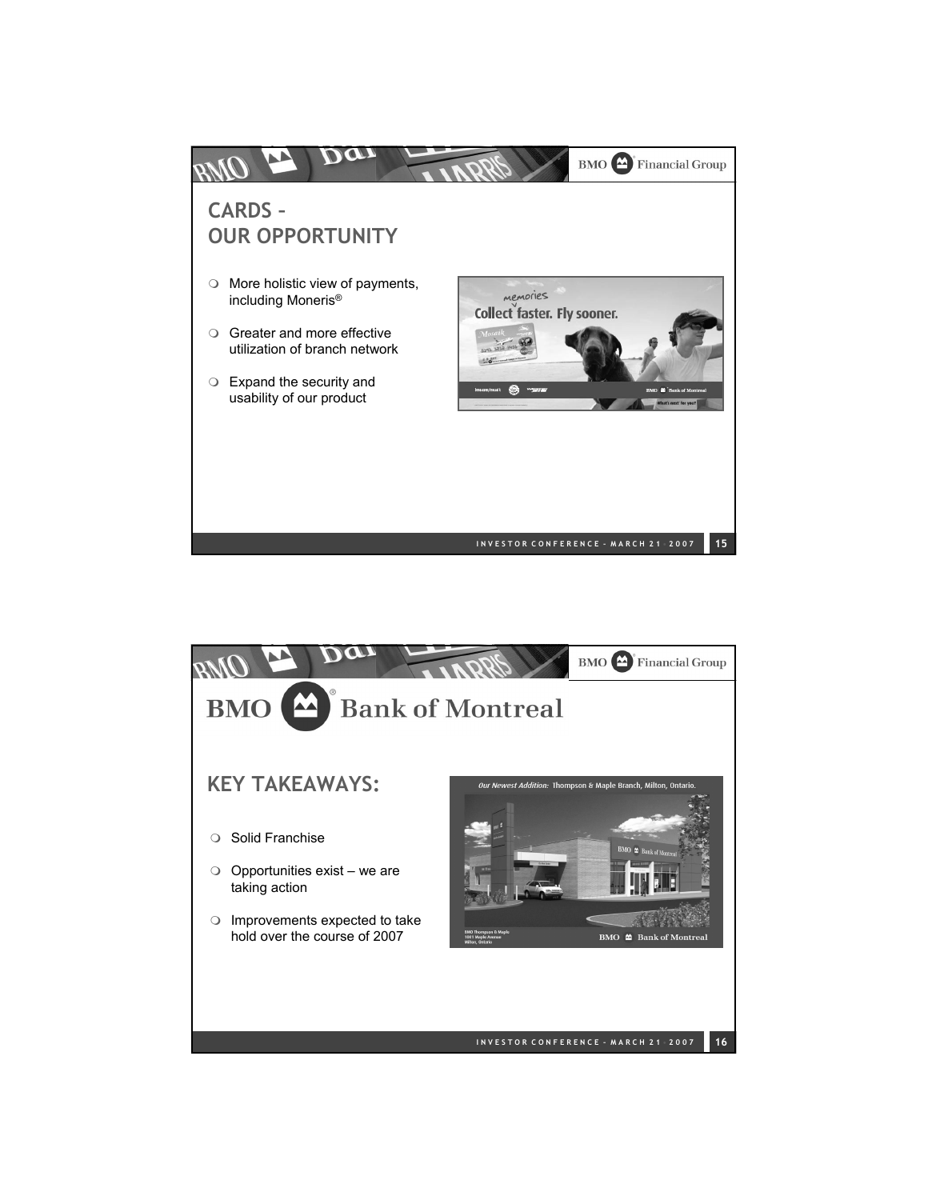